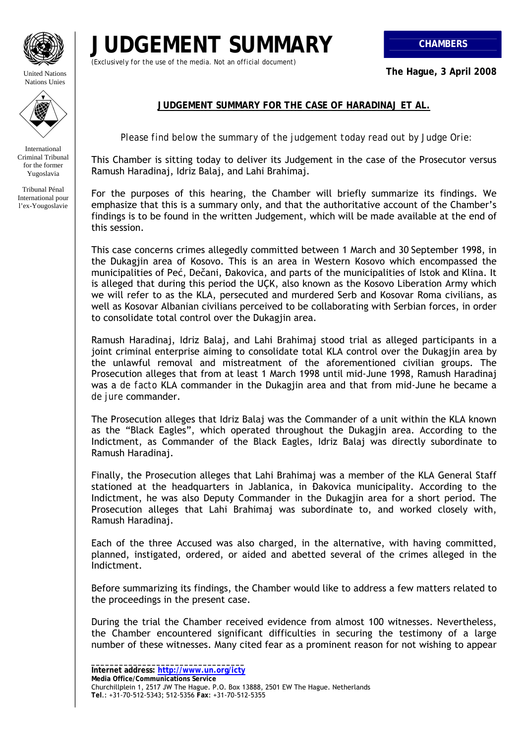

United Nations Nations Unies



International Criminal Tribunal for the former Yugoslavia

Tribunal Pénal International pour l'ex-Yougoslavie

## **JUDGEMENT SUMMARY CHAMBERS**

*(Exclusively for the use of the media. Not an official document)*

**The Hague, 3 April 2008** 

## **JUDGEMENT SUMMARY FOR THE CASE OF HARADINAJ ET AL.**

*Please find below the summary of the judgement today read out by Judge Orie:* 

This Chamber is sitting today to deliver its Judgement in the case of the Prosecutor versus Ramush Haradinaj, Idriz Balaj, and Lahi Brahimaj.

For the purposes of this hearing, the Chamber will briefly summarize its findings. We emphasize that this is a summary only, and that the authoritative account of the Chamber's findings is to be found in the written Judgement, which will be made available at the end of this session.

This case concerns crimes allegedly committed between 1 March and 30 September 1998, in the Dukagjin area of Kosovo. This is an area in Western Kosovo which encompassed the municipalities of Peć, Dečani, Đakovica, and parts of the municipalities of Istok and Klina. It is alleged that during this period the UÇK, also known as the Kosovo Liberation Army which we will refer to as the KLA, persecuted and murdered Serb and Kosovar Roma civilians, as well as Kosovar Albanian civilians perceived to be collaborating with Serbian forces, in order to consolidate total control over the Dukagjin area.

Ramush Haradinaj, Idriz Balaj, and Lahi Brahimaj stood trial as alleged participants in a joint criminal enterprise aiming to consolidate total KLA control over the Dukagjin area by the unlawful removal and mistreatment of the aforementioned civilian groups. The Prosecution alleges that from at least 1 March 1998 until mid-June 1998, Ramush Haradinaj was a *de facto* KLA commander in the Dukagjin area and that from mid-June he became a *de jure* commander.

The Prosecution alleges that Idriz Balaj was the Commander of a unit within the KLA known as the "Black Eagles", which operated throughout the Dukagjin area. According to the Indictment, as Commander of the Black Eagles, Idriz Balaj was directly subordinate to Ramush Haradinaj.

Finally, the Prosecution alleges that Lahi Brahimaj was a member of the KLA General Staff stationed at the headquarters in Jablanica, in Đakovica municipality. According to the Indictment, he was also Deputy Commander in the Dukagjin area for a short period. The Prosecution alleges that Lahi Brahimaj was subordinate to, and worked closely with, Ramush Haradinaj.

Each of the three Accused was also charged, in the alternative, with having committed, planned, instigated, ordered, or aided and abetted several of the crimes alleged in the Indictment.

Before summarizing its findings, the Chamber would like to address a few matters related to the proceedings in the present case.

During the trial the Chamber received evidence from almost 100 witnesses. Nevertheless, the Chamber encountered significant difficulties in securing the testimony of a large number of these witnesses. Many cited fear as a prominent reason for not wishing to appear

**\_\_\_\_\_\_\_\_\_\_\_\_\_\_\_\_\_\_\_\_\_\_\_\_\_\_\_\_\_\_\_\_\_ Internet address: http://www.un.org/icty**

**Media Office/Communications Service**  Churchillplein 1, 2517 JW The Hague. P.O. Box 13888, 2501 EW The Hague. Netherlands **Tel**.: +31-70-512-5343; 512-5356 **Fax**: +31-70-512-5355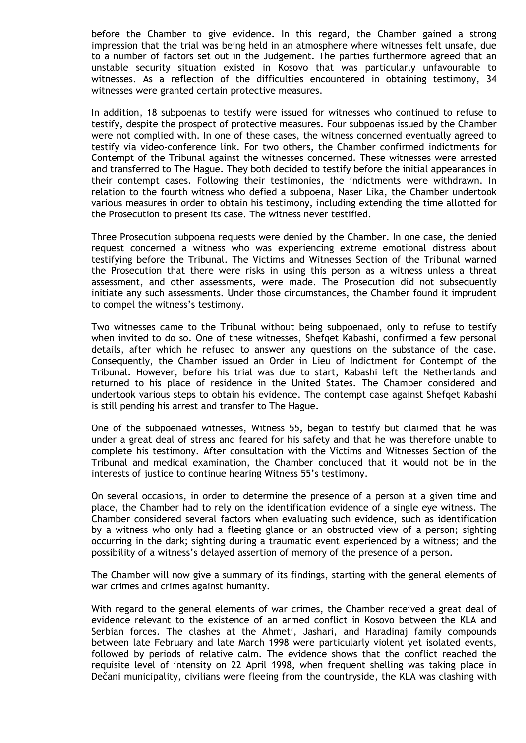before the Chamber to give evidence. In this regard, the Chamber gained a strong impression that the trial was being held in an atmosphere where witnesses felt unsafe, due to a number of factors set out in the Judgement. The parties furthermore agreed that an unstable security situation existed in Kosovo that was particularly unfavourable to witnesses. As a reflection of the difficulties encountered in obtaining testimony, 34 witnesses were granted certain protective measures.

In addition, 18 subpoenas to testify were issued for witnesses who continued to refuse to testify, despite the prospect of protective measures. Four subpoenas issued by the Chamber were not complied with. In one of these cases, the witness concerned eventually agreed to testify via video-conference link. For two others, the Chamber confirmed indictments for Contempt of the Tribunal against the witnesses concerned. These witnesses were arrested and transferred to The Hague. They both decided to testify before the initial appearances in their contempt cases. Following their testimonies, the indictments were withdrawn. In relation to the fourth witness who defied a subpoena, Naser Lika, the Chamber undertook various measures in order to obtain his testimony, including extending the time allotted for the Prosecution to present its case. The witness never testified.

Three Prosecution subpoena requests were denied by the Chamber. In one case, the denied request concerned a witness who was experiencing extreme emotional distress about testifying before the Tribunal. The Victims and Witnesses Section of the Tribunal warned the Prosecution that there were risks in using this person as a witness unless a threat assessment, and other assessments, were made. The Prosecution did not subsequently initiate any such assessments. Under those circumstances, the Chamber found it imprudent to compel the witness's testimony.

Two witnesses came to the Tribunal without being subpoenaed, only to refuse to testify when invited to do so. One of these witnesses, Shefqet Kabashi, confirmed a few personal details, after which he refused to answer any questions on the substance of the case. Consequently, the Chamber issued an Order in Lieu of Indictment for Contempt of the Tribunal. However, before his trial was due to start, Kabashi left the Netherlands and returned to his place of residence in the United States. The Chamber considered and undertook various steps to obtain his evidence. The contempt case against Shefqet Kabashi is still pending his arrest and transfer to The Hague.

One of the subpoenaed witnesses, Witness 55, began to testify but claimed that he was under a great deal of stress and feared for his safety and that he was therefore unable to complete his testimony. After consultation with the Victims and Witnesses Section of the Tribunal and medical examination, the Chamber concluded that it would not be in the interests of justice to continue hearing Witness 55's testimony.

On several occasions, in order to determine the presence of a person at a given time and place, the Chamber had to rely on the identification evidence of a single eye witness. The Chamber considered several factors when evaluating such evidence, such as identification by a witness who only had a fleeting glance or an obstructed view of a person; sighting occurring in the dark; sighting during a traumatic event experienced by a witness; and the possibility of a witness's delayed assertion of memory of the presence of a person.

The Chamber will now give a summary of its findings, starting with the general elements of war crimes and crimes against humanity.

With regard to the general elements of war crimes, the Chamber received a great deal of evidence relevant to the existence of an armed conflict in Kosovo between the KLA and Serbian forces. The clashes at the Ahmeti, Jashari, and Haradinaj family compounds between late February and late March 1998 were particularly violent yet isolated events, followed by periods of relative calm. The evidence shows that the conflict reached the requisite level of intensity on 22 April 1998, when frequent shelling was taking place in Dečani municipality, civilians were fleeing from the countryside, the KLA was clashing with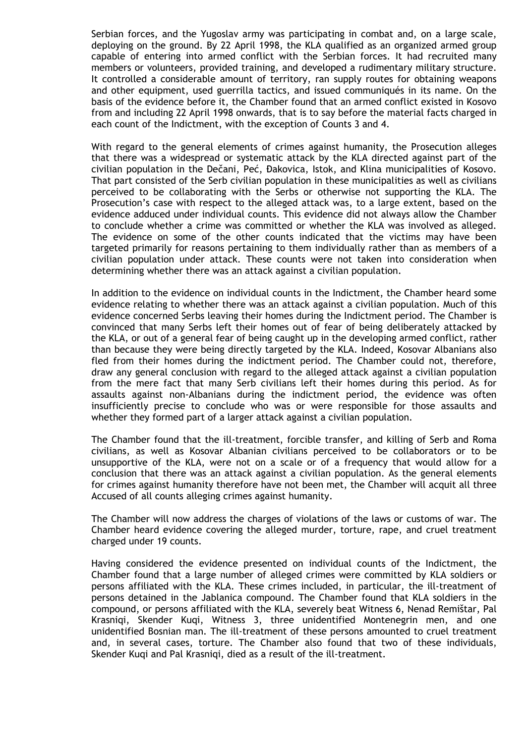Serbian forces, and the Yugoslav army was participating in combat and, on a large scale, deploying on the ground. By 22 April 1998, the KLA qualified as an organized armed group capable of entering into armed conflict with the Serbian forces. It had recruited many members or volunteers, provided training, and developed a rudimentary military structure. It controlled a considerable amount of territory, ran supply routes for obtaining weapons and other equipment, used guerrilla tactics, and issued communiqués in its name. On the basis of the evidence before it, the Chamber found that an armed conflict existed in Kosovo from and including 22 April 1998 onwards, that is to say before the material facts charged in each count of the Indictment, with the exception of Counts 3 and 4.

With regard to the general elements of crimes against humanity, the Prosecution alleges that there was a widespread or systematic attack by the KLA directed against part of the civilian population in the Dečani, Peć, Đakovica, Istok, and Klina municipalities of Kosovo. That part consisted of the Serb civilian population in these municipalities as well as civilians perceived to be collaborating with the Serbs or otherwise not supporting the KLA. The Prosecution's case with respect to the alleged attack was, to a large extent, based on the evidence adduced under individual counts. This evidence did not always allow the Chamber to conclude whether a crime was committed or whether the KLA was involved as alleged. The evidence on some of the other counts indicated that the victims may have been targeted primarily for reasons pertaining to them individually rather than as members of a civilian population under attack. These counts were not taken into consideration when determining whether there was an attack against a civilian population.

In addition to the evidence on individual counts in the Indictment, the Chamber heard some evidence relating to whether there was an attack against a civilian population. Much of this evidence concerned Serbs leaving their homes during the Indictment period. The Chamber is convinced that many Serbs left their homes out of fear of being deliberately attacked by the KLA, or out of a general fear of being caught up in the developing armed conflict, rather than because they were being directly targeted by the KLA. Indeed, Kosovar Albanians also fled from their homes during the indictment period. The Chamber could not, therefore, draw any general conclusion with regard to the alleged attack against a civilian population from the mere fact that many Serb civilians left their homes during this period. As for assaults against non-Albanians during the indictment period, the evidence was often insufficiently precise to conclude who was or were responsible for those assaults and whether they formed part of a larger attack against a civilian population.

The Chamber found that the ill-treatment, forcible transfer, and killing of Serb and Roma civilians, as well as Kosovar Albanian civilians perceived to be collaborators or to be unsupportive of the KLA, were not on a scale or of a frequency that would allow for a conclusion that there was an attack against a civilian population. As the general elements for crimes against humanity therefore have not been met, the Chamber will acquit all three Accused of all counts alleging crimes against humanity.

The Chamber will now address the charges of violations of the laws or customs of war. The Chamber heard evidence covering the alleged murder, torture, rape, and cruel treatment charged under 19 counts.

Having considered the evidence presented on individual counts of the Indictment, the Chamber found that a large number of alleged crimes were committed by KLA soldiers or persons affiliated with the KLA. These crimes included, in particular, the ill-treatment of persons detained in the Jablanica compound. The Chamber found that KLA soldiers in the compound, or persons affiliated with the KLA, severely beat Witness 6, Nenad Remištar, Pal Krasniqi, Skender Kuqi, Witness 3, three unidentified Montenegrin men, and one unidentified Bosnian man. The ill-treatment of these persons amounted to cruel treatment and, in several cases, torture. The Chamber also found that two of these individuals, Skender Kuqi and Pal Krasniqi, died as a result of the ill-treatment.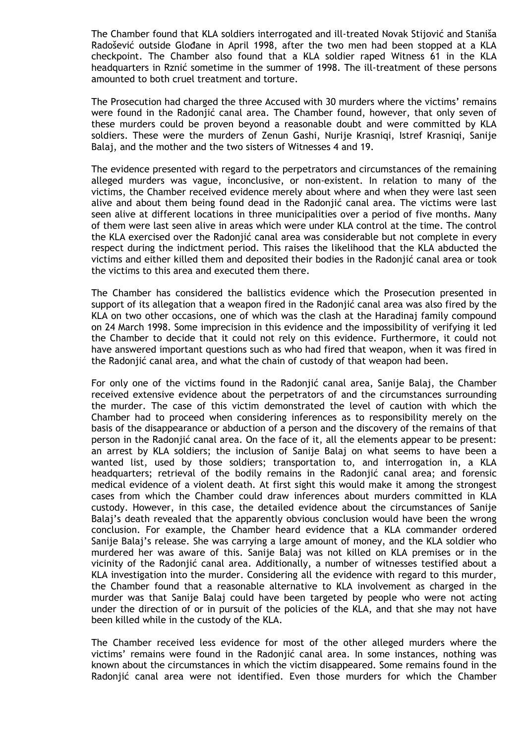The Chamber found that KLA soldiers interrogated and ill-treated Novak Stijović and Staniša Radošević outside Glođane in April 1998, after the two men had been stopped at a KLA checkpoint. The Chamber also found that a KLA soldier raped Witness 61 in the KLA headquarters in Rznić sometime in the summer of 1998. The ill-treatment of these persons amounted to both cruel treatment and torture.

The Prosecution had charged the three Accused with 30 murders where the victims' remains were found in the Radonjić canal area. The Chamber found, however, that only seven of these murders could be proven beyond a reasonable doubt and were committed by KLA soldiers. These were the murders of Zenun Gashi, Nurije Krasniqi, Istref Krasniqi, Sanije Balaj, and the mother and the two sisters of Witnesses 4 and 19.

The evidence presented with regard to the perpetrators and circumstances of the remaining alleged murders was vague, inconclusive, or non-existent. In relation to many of the victims, the Chamber received evidence merely about where and when they were last seen alive and about them being found dead in the Radonjić canal area. The victims were last seen alive at different locations in three municipalities over a period of five months. Many of them were last seen alive in areas which were under KLA control at the time. The control the KLA exercised over the Radonjić canal area was considerable but not complete in every respect during the indictment period. This raises the likelihood that the KLA abducted the victims and either killed them and deposited their bodies in the Radonjić canal area or took the victims to this area and executed them there.

The Chamber has considered the ballistics evidence which the Prosecution presented in support of its allegation that a weapon fired in the Radoniić canal area was also fired by the KLA on two other occasions, one of which was the clash at the Haradinaj family compound on 24 March 1998. Some imprecision in this evidence and the impossibility of verifying it led the Chamber to decide that it could not rely on this evidence. Furthermore, it could not have answered important questions such as who had fired that weapon, when it was fired in the Radonjić canal area, and what the chain of custody of that weapon had been.

For only one of the victims found in the Radonjić canal area, Sanije Balaj, the Chamber received extensive evidence about the perpetrators of and the circumstances surrounding the murder. The case of this victim demonstrated the level of caution with which the Chamber had to proceed when considering inferences as to responsibility merely on the basis of the disappearance or abduction of a person and the discovery of the remains of that person in the Radonjić canal area. On the face of it, all the elements appear to be present: an arrest by KLA soldiers; the inclusion of Sanije Balaj on what seems to have been a wanted list, used by those soldiers; transportation to, and interrogation in, a KLA headquarters; retrieval of the bodily remains in the Radonjić canal area; and forensic medical evidence of a violent death. At first sight this would make it among the strongest cases from which the Chamber could draw inferences about murders committed in KLA custody. However, in this case, the detailed evidence about the circumstances of Sanije Balaj's death revealed that the apparently obvious conclusion would have been the wrong conclusion. For example, the Chamber heard evidence that a KLA commander ordered Sanije Balaj's release. She was carrying a large amount of money, and the KLA soldier who murdered her was aware of this. Sanije Balaj was not killed on KLA premises or in the vicinity of the Radonjić canal area. Additionally, a number of witnesses testified about a KLA investigation into the murder. Considering all the evidence with regard to this murder, the Chamber found that a reasonable alternative to KLA involvement as charged in the murder was that Sanije Balaj could have been targeted by people who were not acting under the direction of or in pursuit of the policies of the KLA, and that she may not have been killed while in the custody of the KLA.

The Chamber received less evidence for most of the other alleged murders where the victims' remains were found in the Radonjić canal area. In some instances, nothing was known about the circumstances in which the victim disappeared. Some remains found in the Radonjić canal area were not identified. Even those murders for which the Chamber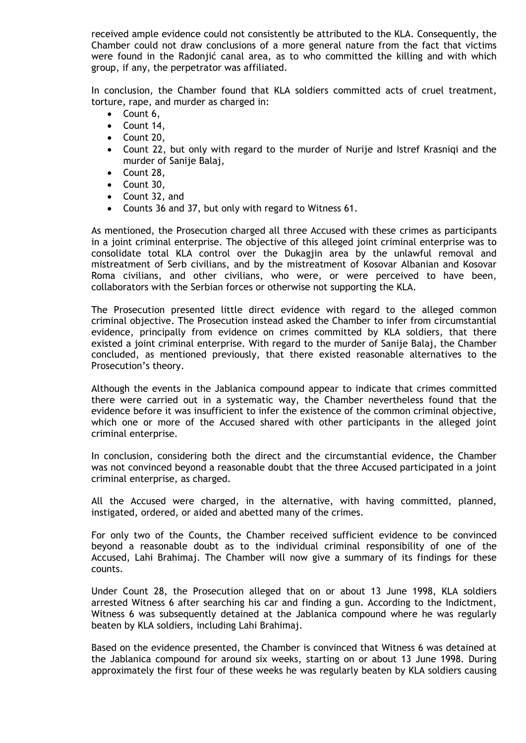received ample evidence could not consistently be attributed to the KLA. Consequently, the Chamber could not draw conclusions of a more general nature from the fact that victims were found in the Radonjić canal area, as to who committed the killing and with which group, if any, the perpetrator was affiliated.

In conclusion, the Chamber found that KLA soldiers committed acts of cruel treatment, torture, rape, and murder as charged in:

- Count 6,
- Count 14,
- Count 20,
- Count 22, but only with regard to the murder of Nurije and Istref Krasniqi and the murder of Sanije Balaj,
- Count 28,
- Count 30,
- Count 32, and
- Counts 36 and 37, but only with regard to Witness 61.

As mentioned, the Prosecution charged all three Accused with these crimes as participants in a joint criminal enterprise. The objective of this alleged joint criminal enterprise was to consolidate total KLA control over the Dukagjin area by the unlawful removal and mistreatment of Serb civilians, and by the mistreatment of Kosovar Albanian and Kosovar Roma civilians, and other civilians, who were, or were perceived to have been, collaborators with the Serbian forces or otherwise not supporting the KLA.

The Prosecution presented little direct evidence with regard to the alleged common criminal objective. The Prosecution instead asked the Chamber to infer from circumstantial evidence, principally from evidence on crimes committed by KLA soldiers, that there existed a joint criminal enterprise. With regard to the murder of Sanije Balaj, the Chamber concluded, as mentioned previously, that there existed reasonable alternatives to the Prosecution's theory.

Although the events in the Jablanica compound appear to indicate that crimes committed there were carried out in a systematic way, the Chamber nevertheless found that the evidence before it was insufficient to infer the existence of the common criminal objective, which one or more of the Accused shared with other participants in the alleged joint criminal enterprise.

In conclusion, considering both the direct and the circumstantial evidence, the Chamber was not convinced beyond a reasonable doubt that the three Accused participated in a joint criminal enterprise, as charged.

All the Accused were charged, in the alternative, with having committed, planned, instigated, ordered, or aided and abetted many of the crimes.

For only two of the Counts, the Chamber received sufficient evidence to be convinced beyond a reasonable doubt as to the individual criminal responsibility of one of the Accused, Lahi Brahimaj. The Chamber will now give a summary of its findings for these counts.

Under Count 28, the Prosecution alleged that on or about 13 June 1998, KLA soldiers arrested Witness 6 after searching his car and finding a gun. According to the Indictment, Witness 6 was subsequently detained at the Jablanica compound where he was regularly beaten by KLA soldiers, including Lahi Brahimaj.

Based on the evidence presented, the Chamber is convinced that Witness 6 was detained at the Jablanica compound for around six weeks, starting on or about 13 June 1998. During approximately the first four of these weeks he was regularly beaten by KLA soldiers causing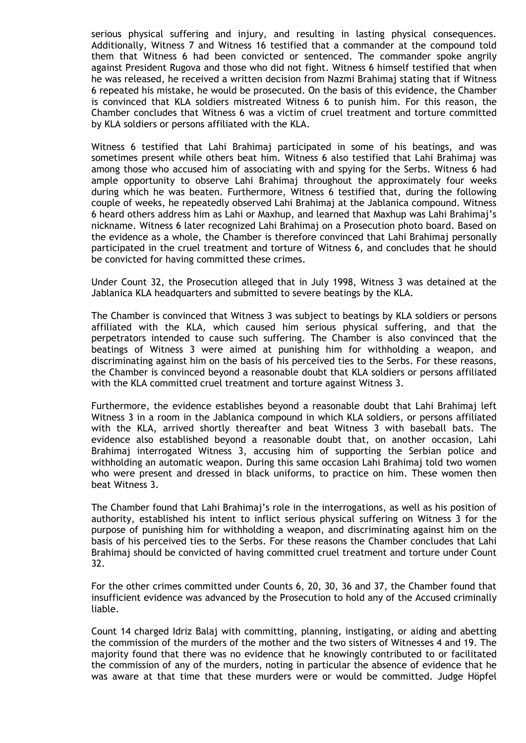serious physical suffering and injury, and resulting in lasting physical consequences. Additionally, Witness 7 and Witness 16 testified that a commander at the compound told them that Witness 6 had been convicted or sentenced. The commander spoke angrily against President Rugova and those who did not fight. Witness 6 himself testified that when he was released, he received a written decision from Nazmi Brahimaj stating that if Witness 6 repeated his mistake, he would be prosecuted. On the basis of this evidence, the Chamber is convinced that KLA soldiers mistreated Witness 6 to punish him. For this reason, the Chamber concludes that Witness 6 was a victim of cruel treatment and torture committed by KLA soldiers or persons affiliated with the KLA.

Witness 6 testified that Lahi Brahimaj participated in some of his beatings, and was sometimes present while others beat him. Witness 6 also testified that Lahi Brahimaj was among those who accused him of associating with and spying for the Serbs. Witness 6 had ample opportunity to observe Lahi Brahimaj throughout the approximately four weeks during which he was beaten. Furthermore, Witness 6 testified that, during the following couple of weeks, he repeatedly observed Lahi Brahimaj at the Jablanica compound. Witness 6 heard others address him as Lahi or Maxhup, and learned that Maxhup was Lahi Brahimaj's nickname. Witness 6 later recognized Lahi Brahimaj on a Prosecution photo board. Based on the evidence as a whole, the Chamber is therefore convinced that Lahi Brahimaj personally participated in the cruel treatment and torture of Witness 6, and concludes that he should be convicted for having committed these crimes.

Under Count 32, the Prosecution alleged that in July 1998, Witness 3 was detained at the Jablanica KLA headquarters and submitted to severe beatings by the KLA.

The Chamber is convinced that Witness 3 was subject to beatings by KLA soldiers or persons affiliated with the KLA, which caused him serious physical suffering, and that the perpetrators intended to cause such suffering. The Chamber is also convinced that the beatings of Witness 3 were aimed at punishing him for withholding a weapon, and discriminating against him on the basis of his perceived ties to the Serbs. For these reasons, the Chamber is convinced beyond a reasonable doubt that KLA soldiers or persons affiliated with the KLA committed cruel treatment and torture against Witness 3.

Furthermore, the evidence establishes beyond a reasonable doubt that Lahi Brahimaj left Witness 3 in a room in the Jablanica compound in which KLA soldiers, or persons affiliated with the KLA, arrived shortly thereafter and beat Witness 3 with baseball bats. The evidence also established beyond a reasonable doubt that, on another occasion, Lahi Brahimaj interrogated Witness 3, accusing him of supporting the Serbian police and withholding an automatic weapon. During this same occasion Lahi Brahimaj told two women who were present and dressed in black uniforms, to practice on him. These women then beat Witness 3.

The Chamber found that Lahi Brahimaj's role in the interrogations, as well as his position of authority, established his intent to inflict serious physical suffering on Witness 3 for the purpose of punishing him for withholding a weapon, and discriminating against him on the basis of his perceived ties to the Serbs. For these reasons the Chamber concludes that Lahi Brahimaj should be convicted of having committed cruel treatment and torture under Count 32.

For the other crimes committed under Counts 6, 20, 30, 36 and 37, the Chamber found that insufficient evidence was advanced by the Prosecution to hold any of the Accused criminally liable.

Count 14 charged Idriz Balaj with committing, planning, instigating, or aiding and abetting the commission of the murders of the mother and the two sisters of Witnesses 4 and 19. The majority found that there was no evidence that he knowingly contributed to or facilitated the commission of any of the murders, noting in particular the absence of evidence that he was aware at that time that these murders were or would be committed. Judge Höpfel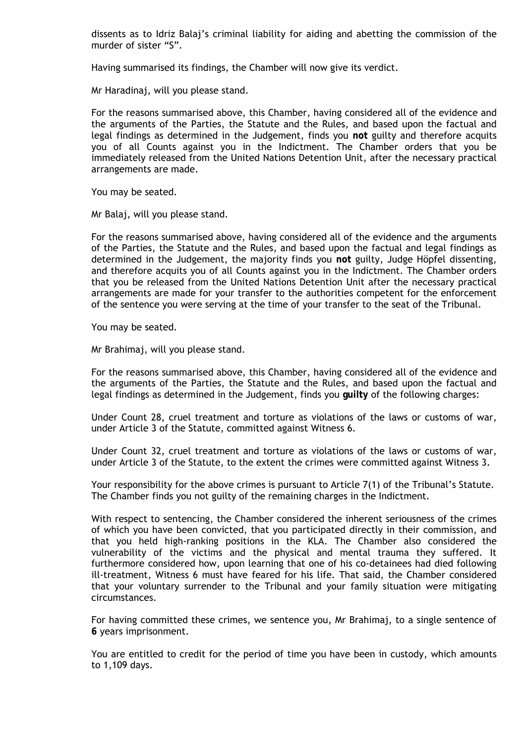dissents as to Idriz Balaj's criminal liability for aiding and abetting the commission of the murder of sister "S".

Having summarised its findings, the Chamber will now give its verdict.

Mr Haradinaj, will you please stand.

For the reasons summarised above, this Chamber, having considered all of the evidence and the arguments of the Parties, the Statute and the Rules, and based upon the factual and legal findings as determined in the Judgement, finds you **not** guilty and therefore acquits you of all Counts against you in the Indictment. The Chamber orders that you be immediately released from the United Nations Detention Unit, after the necessary practical arrangements are made.

You may be seated.

Mr Balaj, will you please stand.

For the reasons summarised above, having considered all of the evidence and the arguments of the Parties, the Statute and the Rules, and based upon the factual and legal findings as determined in the Judgement, the majority finds you **not** guilty, Judge Höpfel dissenting, and therefore acquits you of all Counts against you in the Indictment. The Chamber orders that you be released from the United Nations Detention Unit after the necessary practical arrangements are made for your transfer to the authorities competent for the enforcement of the sentence you were serving at the time of your transfer to the seat of the Tribunal.

You may be seated.

Mr Brahimaj, will you please stand.

For the reasons summarised above, this Chamber, having considered all of the evidence and the arguments of the Parties, the Statute and the Rules, and based upon the factual and legal findings as determined in the Judgement, finds you **guilty** of the following charges:

Under Count 28, cruel treatment and torture as violations of the laws or customs of war, under Article 3 of the Statute, committed against Witness 6.

Under Count 32, cruel treatment and torture as violations of the laws or customs of war, under Article 3 of the Statute, to the extent the crimes were committed against Witness 3.

Your responsibility for the above crimes is pursuant to Article 7(1) of the Tribunal's Statute. The Chamber finds you not guilty of the remaining charges in the Indictment.

With respect to sentencing, the Chamber considered the inherent seriousness of the crimes of which you have been convicted, that you participated directly in their commission, and that you held high-ranking positions in the KLA. The Chamber also considered the vulnerability of the victims and the physical and mental trauma they suffered. It furthermore considered how, upon learning that one of his co-detainees had died following ill-treatment, Witness 6 must have feared for his life. That said, the Chamber considered that your voluntary surrender to the Tribunal and your family situation were mitigating circumstances.

For having committed these crimes, we sentence you, Mr Brahimaj, to a single sentence of **6** years imprisonment.

You are entitled to credit for the period of time you have been in custody, which amounts to 1,109 days.